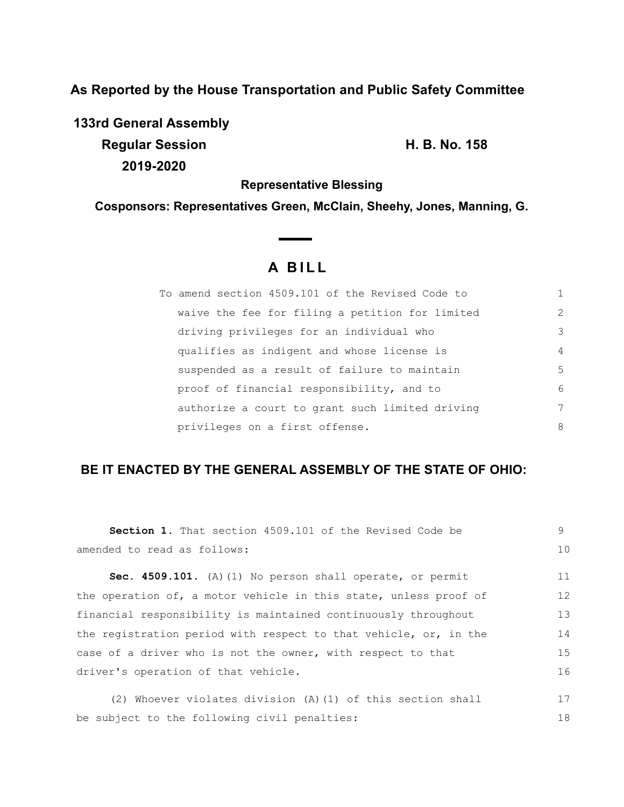**As Reported by the House Transportation and Public Safety Committee**

**133rd General Assembly Regular Session H. B. No. 158 2019-2020**

**Representative Blessing**

**Cosponsors: Representatives Green, McClain, Sheehy, Jones, Manning, G.**

 $\overline{\phantom{a}}$ 

# **A B I L L**

| To amend section 4509.101 of the Revised Code to |   |
|--------------------------------------------------|---|
| waive the fee for filing a petition for limited  | 2 |
| driving privileges for an individual who         | 3 |
| qualifies as indigent and whose license is       | 4 |
| suspended as a result of failure to maintain     | 5 |
| proof of financial responsibility, and to        | 6 |
| authorize a court to grant such limited driving  | 7 |
| privileges on a first offense.                   | 8 |

## **BE IT ENACTED BY THE GENERAL ASSEMBLY OF THE STATE OF OHIO:**

| <b>Section 1.</b> That section 4509.101 of the Revised Code be   | 9  |
|------------------------------------------------------------------|----|
| amended to read as follows:                                      | 10 |
| Sec. 4509.101. (A) (1) No person shall operate, or permit        | 11 |
| the operation of, a motor vehicle in this state, unless proof of | 12 |
| financial responsibility is maintained continuously throughout   | 13 |
| the registration period with respect to that vehicle, or, in the | 14 |
| case of a driver who is not the owner, with respect to that      | 15 |
| driver's operation of that vehicle.                              | 16 |
| (2) Whoever violates division $(A)$ (1) of this section shall    | 17 |
| be subject to the following civil penalties:                     | 18 |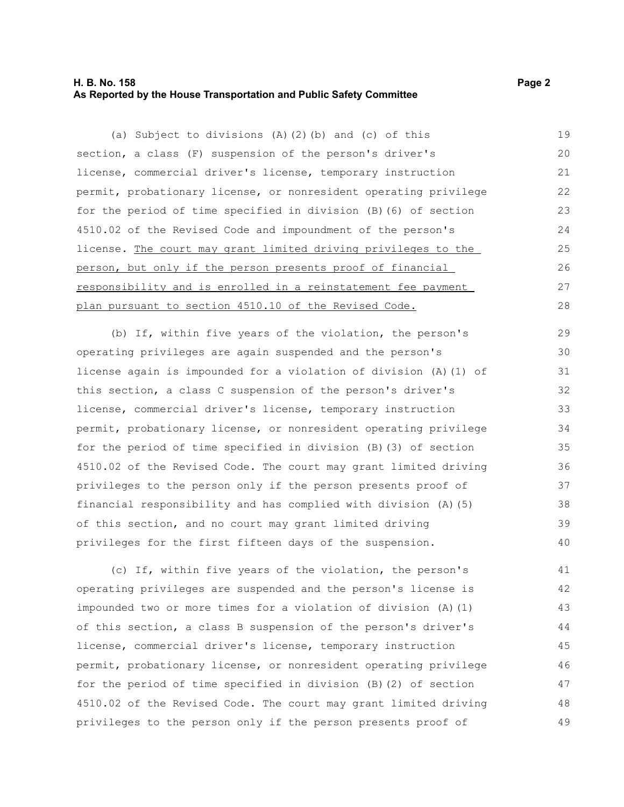#### **H. B. No. 158 Page 2 As Reported by the House Transportation and Public Safety Committee**

(a) Subject to divisions (A)(2)(b) and (c) of this section, a class (F) suspension of the person's driver's license, commercial driver's license, temporary instruction permit, probationary license, or nonresident operating privilege for the period of time specified in division (B)(6) of section 4510.02 of the Revised Code and impoundment of the person's license. The court may grant limited driving privileges to the person, but only if the person presents proof of financial responsibility and is enrolled in a reinstatement fee payment plan pursuant to section 4510.10 of the Revised Code. 19 20 21 22 23 24 25 26 27 28

(b) If, within five years of the violation, the person's operating privileges are again suspended and the person's license again is impounded for a violation of division (A)(1) of this section, a class C suspension of the person's driver's license, commercial driver's license, temporary instruction permit, probationary license, or nonresident operating privilege for the period of time specified in division (B)(3) of section 4510.02 of the Revised Code. The court may grant limited driving privileges to the person only if the person presents proof of financial responsibility and has complied with division (A)(5) of this section, and no court may grant limited driving privileges for the first fifteen days of the suspension. 29 30 31 32 33 34 35 36 37 38 39 40

(c) If, within five years of the violation, the person's operating privileges are suspended and the person's license is impounded two or more times for a violation of division (A)(1) of this section, a class B suspension of the person's driver's license, commercial driver's license, temporary instruction permit, probationary license, or nonresident operating privilege for the period of time specified in division (B)(2) of section 4510.02 of the Revised Code. The court may grant limited driving privileges to the person only if the person presents proof of 41 42 43 44 45 46 47 48 49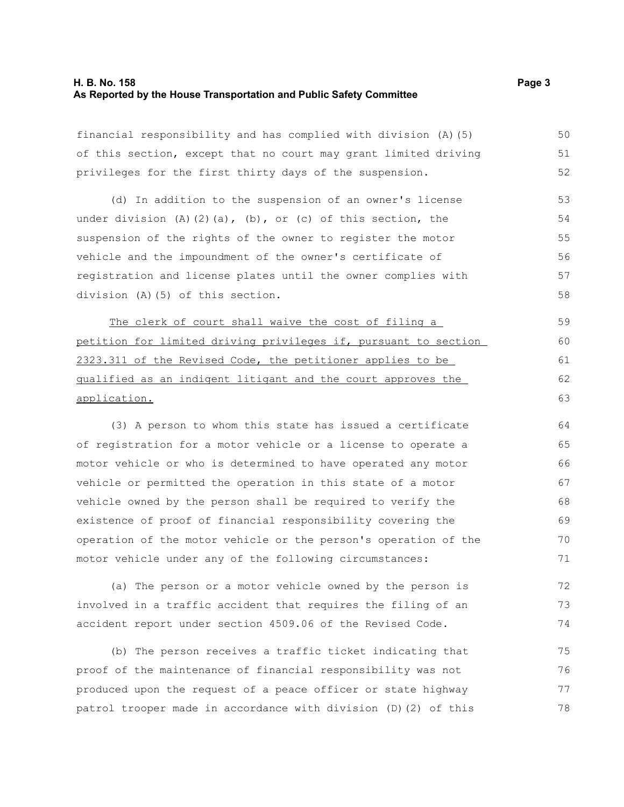#### **H. B. No. 158 Page 3 As Reported by the House Transportation and Public Safety Committee**

financial responsibility and has complied with division (A)(5) of this section, except that no court may grant limited driving privileges for the first thirty days of the suspension.

(d) In addition to the suspension of an owner's license under division  $(A)$   $(2)$   $(a)$ ,  $(b)$ , or  $(c)$  of this section, the suspension of the rights of the owner to register the motor vehicle and the impoundment of the owner's certificate of registration and license plates until the owner complies with division (A)(5) of this section. 53 54 55 56 57 58

The clerk of court shall waive the cost of filing a petition for limited driving privileges if, pursuant to section 2323.311 of the Revised Code, the petitioner applies to be qualified as an indigent litigant and the court approves the application.

(3) A person to whom this state has issued a certificate of registration for a motor vehicle or a license to operate a motor vehicle or who is determined to have operated any motor vehicle or permitted the operation in this state of a motor vehicle owned by the person shall be required to verify the existence of proof of financial responsibility covering the operation of the motor vehicle or the person's operation of the motor vehicle under any of the following circumstances:

(a) The person or a motor vehicle owned by the person is involved in a traffic accident that requires the filing of an accident report under section 4509.06 of the Revised Code. 72 73 74

(b) The person receives a traffic ticket indicating that proof of the maintenance of financial responsibility was not produced upon the request of a peace officer or state highway patrol trooper made in accordance with division (D)(2) of this 75 76 77 78

50 51 52

62 63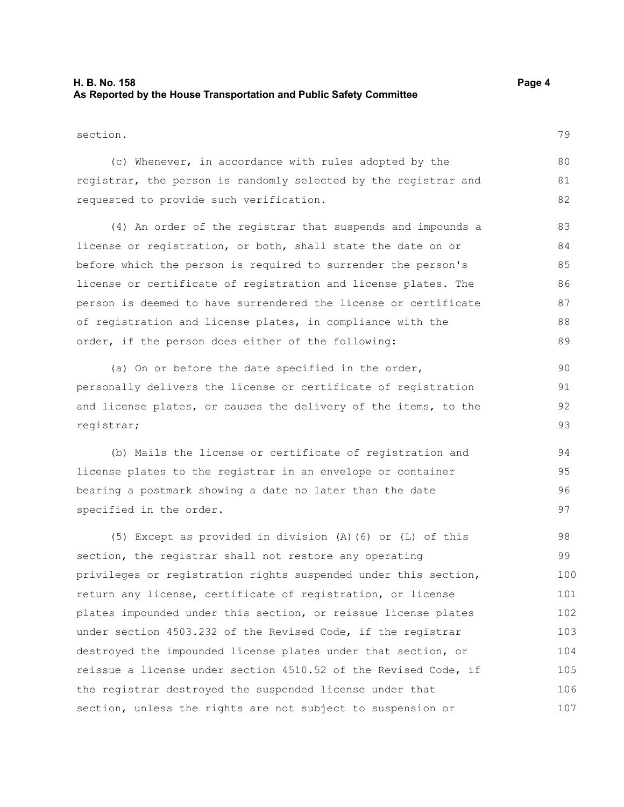#### **H. B. No. 158 Page 4 As Reported by the House Transportation and Public Safety Committee**

#### section.

79

80 81 82

|  |  |  | (c) Whenever, in accordance with rules adopted by the           |  |  |  |  |  |
|--|--|--|-----------------------------------------------------------------|--|--|--|--|--|
|  |  |  | registrar, the person is randomly selected by the registrar and |  |  |  |  |  |
|  |  |  | requested to provide such verification.                         |  |  |  |  |  |

(4) An order of the registrar that suspends and impounds a license or registration, or both, shall state the date on or before which the person is required to surrender the person's license or certificate of registration and license plates. The person is deemed to have surrendered the license or certificate of registration and license plates, in compliance with the order, if the person does either of the following:

(a) On or before the date specified in the order, personally delivers the license or certificate of registration and license plates, or causes the delivery of the items, to the registrar;

(b) Mails the license or certificate of registration and license plates to the registrar in an envelope or container bearing a postmark showing a date no later than the date specified in the order. 94 95 96 97

(5) Except as provided in division (A)(6) or (L) of this section, the registrar shall not restore any operating privileges or registration rights suspended under this section, return any license, certificate of registration, or license plates impounded under this section, or reissue license plates under section 4503.232 of the Revised Code, if the registrar destroyed the impounded license plates under that section, or reissue a license under section 4510.52 of the Revised Code, if the registrar destroyed the suspended license under that section, unless the rights are not subject to suspension or 98 99 100 101 102 103 104 105 106 107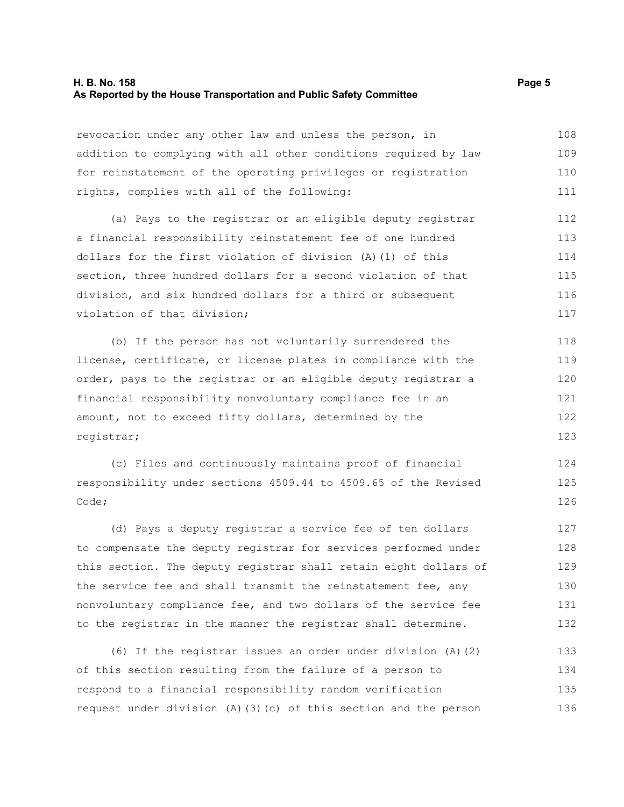#### **H. B. No. 158 Page 5 As Reported by the House Transportation and Public Safety Committee**

revocation under any other law and unless the person, in addition to complying with all other conditions required by law for reinstatement of the operating privileges or registration rights, complies with all of the following: 108 109 110 111

(a) Pays to the registrar or an eligible deputy registrar a financial responsibility reinstatement fee of one hundred dollars for the first violation of division (A)(1) of this section, three hundred dollars for a second violation of that division, and six hundred dollars for a third or subsequent violation of that division; 112 113 114 115 116 117

(b) If the person has not voluntarily surrendered the license, certificate, or license plates in compliance with the order, pays to the registrar or an eligible deputy registrar a financial responsibility nonvoluntary compliance fee in an amount, not to exceed fifty dollars, determined by the registrar; 118 119 120 121 122 123

(c) Files and continuously maintains proof of financial responsibility under sections 4509.44 to 4509.65 of the Revised Code;

(d) Pays a deputy registrar a service fee of ten dollars to compensate the deputy registrar for services performed under this section. The deputy registrar shall retain eight dollars of the service fee and shall transmit the reinstatement fee, any nonvoluntary compliance fee, and two dollars of the service fee to the registrar in the manner the registrar shall determine. 127 128 129 130 131 132

(6) If the registrar issues an order under division (A)(2) of this section resulting from the failure of a person to respond to a financial responsibility random verification request under division (A)(3)(c) of this section and the person 133 134 135 136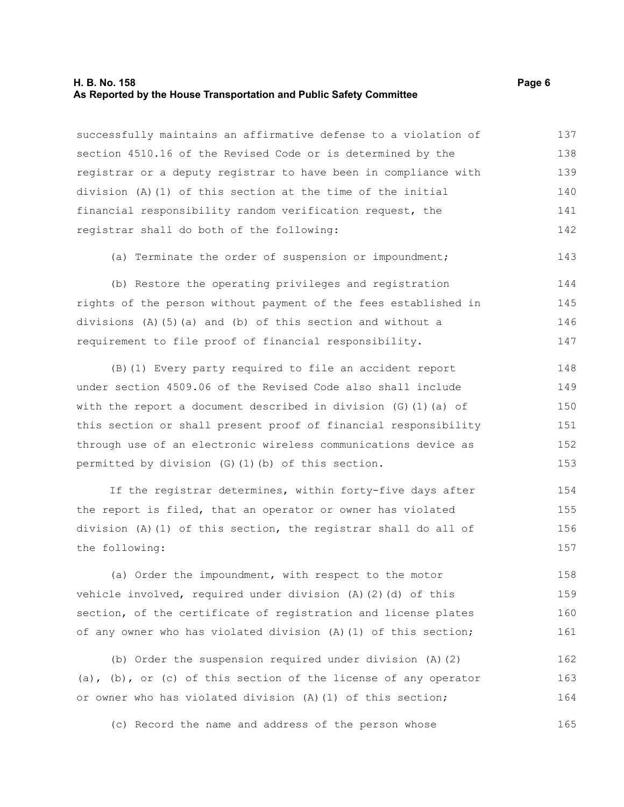#### **H. B. No. 158 Page 6 As Reported by the House Transportation and Public Safety Committee**

successfully maintains an affirmative defense to a violation of section 4510.16 of the Revised Code or is determined by the registrar or a deputy registrar to have been in compliance with division (A)(1) of this section at the time of the initial financial responsibility random verification request, the registrar shall do both of the following: 137 138 139 140 141 142

(a) Terminate the order of suspension or impoundment; 143

(b) Restore the operating privileges and registration rights of the person without payment of the fees established in divisions (A)(5)(a) and (b) of this section and without a requirement to file proof of financial responsibility. 144 145 146 147

(B)(1) Every party required to file an accident report under section 4509.06 of the Revised Code also shall include with the report a document described in division  $(G)$  (1)(a) of this section or shall present proof of financial responsibility through use of an electronic wireless communications device as permitted by division (G)(1)(b) of this section. 148 149 150 151 152 153

If the registrar determines, within forty-five days after the report is filed, that an operator or owner has violated division (A)(1) of this section, the registrar shall do all of the following: 154 155 156 157

(a) Order the impoundment, with respect to the motor vehicle involved, required under division (A)(2)(d) of this section, of the certificate of registration and license plates of any owner who has violated division (A)(1) of this section; 158 159 160 161

(b) Order the suspension required under division (A)(2) (a), (b), or (c) of this section of the license of any operator or owner who has violated division (A)(1) of this section; 162 163 164

(c) Record the name and address of the person whose 165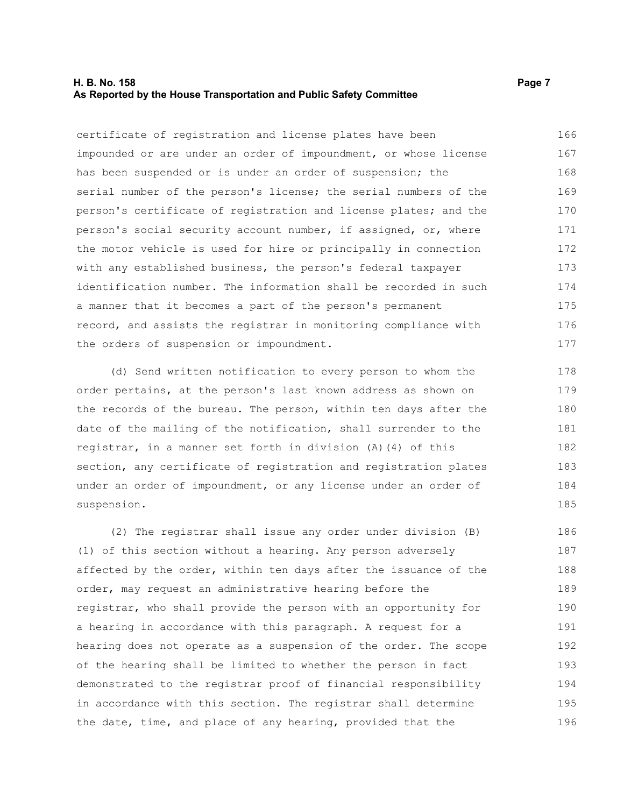#### **H. B. No. 158 Page 7 As Reported by the House Transportation and Public Safety Committee**

certificate of registration and license plates have been impounded or are under an order of impoundment, or whose license has been suspended or is under an order of suspension; the serial number of the person's license; the serial numbers of the person's certificate of registration and license plates; and the person's social security account number, if assigned, or, where the motor vehicle is used for hire or principally in connection with any established business, the person's federal taxpayer identification number. The information shall be recorded in such a manner that it becomes a part of the person's permanent record, and assists the registrar in monitoring compliance with the orders of suspension or impoundment. 166 167 168 169 170 171 172 173 174 175 176 177

(d) Send written notification to every person to whom the order pertains, at the person's last known address as shown on the records of the bureau. The person, within ten days after the date of the mailing of the notification, shall surrender to the registrar, in a manner set forth in division (A)(4) of this section, any certificate of registration and registration plates under an order of impoundment, or any license under an order of suspension.

(2) The registrar shall issue any order under division (B) (1) of this section without a hearing. Any person adversely affected by the order, within ten days after the issuance of the order, may request an administrative hearing before the registrar, who shall provide the person with an opportunity for a hearing in accordance with this paragraph. A request for a hearing does not operate as a suspension of the order. The scope of the hearing shall be limited to whether the person in fact demonstrated to the registrar proof of financial responsibility in accordance with this section. The registrar shall determine the date, time, and place of any hearing, provided that the 186 187 188 189 190 191 192 193 194 195 196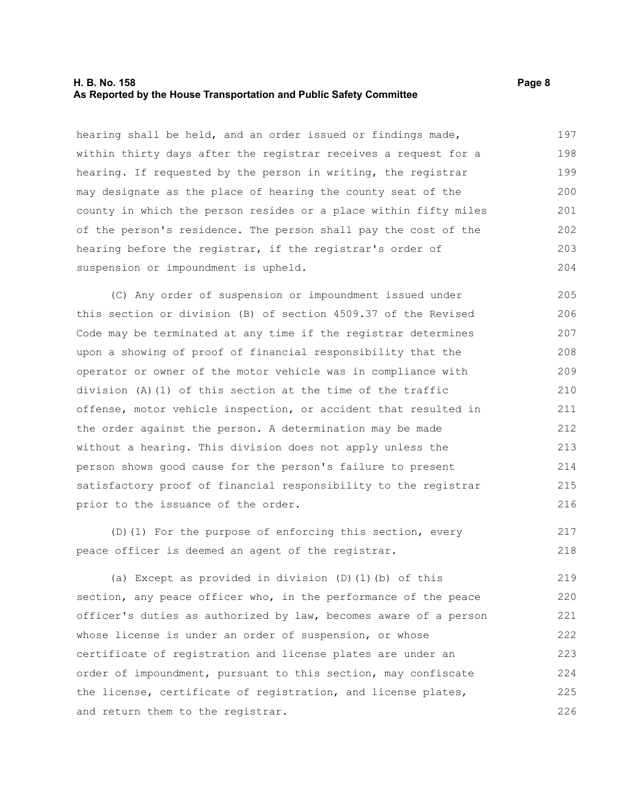#### **H. B. No. 158 Page 8 As Reported by the House Transportation and Public Safety Committee**

hearing shall be held, and an order issued or findings made, within thirty days after the registrar receives a request for a hearing. If requested by the person in writing, the registrar may designate as the place of hearing the county seat of the county in which the person resides or a place within fifty miles of the person's residence. The person shall pay the cost of the hearing before the registrar, if the registrar's order of suspension or impoundment is upheld. 197 198 199 200 201 202 203 204

(C) Any order of suspension or impoundment issued under this section or division (B) of section 4509.37 of the Revised Code may be terminated at any time if the registrar determines upon a showing of proof of financial responsibility that the operator or owner of the motor vehicle was in compliance with division (A)(1) of this section at the time of the traffic offense, motor vehicle inspection, or accident that resulted in the order against the person. A determination may be made without a hearing. This division does not apply unless the person shows good cause for the person's failure to present satisfactory proof of financial responsibility to the registrar prior to the issuance of the order. 205 206 207 208 209 210 211 212 213 214 215 216

(D)(1) For the purpose of enforcing this section, every peace officer is deemed an agent of the registrar. 217 218

(a) Except as provided in division (D)(1)(b) of this section, any peace officer who, in the performance of the peace officer's duties as authorized by law, becomes aware of a person whose license is under an order of suspension, or whose certificate of registration and license plates are under an order of impoundment, pursuant to this section, may confiscate the license, certificate of registration, and license plates, and return them to the registrar. 219 220 221 222 223 224 225 226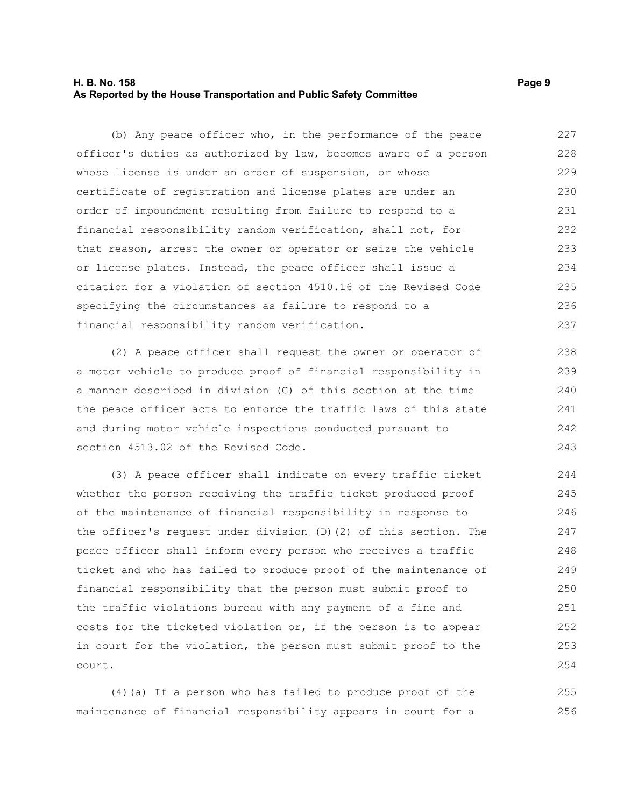#### **H. B. No. 158 Page 9 As Reported by the House Transportation and Public Safety Committee**

(b) Any peace officer who, in the performance of the peace officer's duties as authorized by law, becomes aware of a person whose license is under an order of suspension, or whose certificate of registration and license plates are under an order of impoundment resulting from failure to respond to a financial responsibility random verification, shall not, for that reason, arrest the owner or operator or seize the vehicle or license plates. Instead, the peace officer shall issue a citation for a violation of section 4510.16 of the Revised Code specifying the circumstances as failure to respond to a financial responsibility random verification. 227 228 229 230 231 232 233 234 235 236 237

(2) A peace officer shall request the owner or operator of a motor vehicle to produce proof of financial responsibility in a manner described in division (G) of this section at the time the peace officer acts to enforce the traffic laws of this state and during motor vehicle inspections conducted pursuant to section 4513.02 of the Revised Code. 238 239 240 241 242 243

(3) A peace officer shall indicate on every traffic ticket whether the person receiving the traffic ticket produced proof of the maintenance of financial responsibility in response to the officer's request under division (D)(2) of this section. The peace officer shall inform every person who receives a traffic ticket and who has failed to produce proof of the maintenance of financial responsibility that the person must submit proof to the traffic violations bureau with any payment of a fine and costs for the ticketed violation or, if the person is to appear in court for the violation, the person must submit proof to the court. 244 245 246 247 248 249 250 251 252 253 254

(4)(a) If a person who has failed to produce proof of the maintenance of financial responsibility appears in court for a 255 256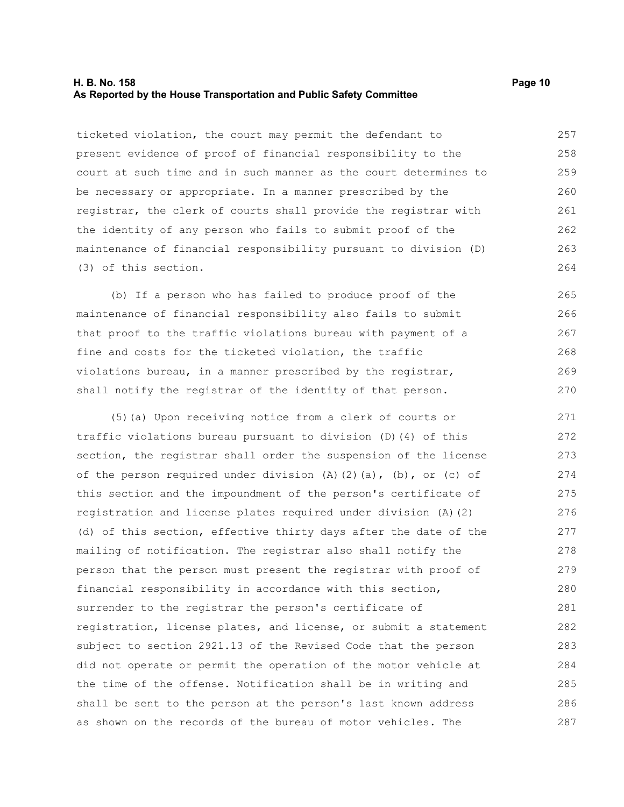#### **H. B. No. 158 Page 10 As Reported by the House Transportation and Public Safety Committee**

ticketed violation, the court may permit the defendant to present evidence of proof of financial responsibility to the court at such time and in such manner as the court determines to be necessary or appropriate. In a manner prescribed by the registrar, the clerk of courts shall provide the registrar with the identity of any person who fails to submit proof of the maintenance of financial responsibility pursuant to division (D) (3) of this section. 257 258 259 260 261 262 263 264

(b) If a person who has failed to produce proof of the maintenance of financial responsibility also fails to submit that proof to the traffic violations bureau with payment of a fine and costs for the ticketed violation, the traffic violations bureau, in a manner prescribed by the registrar, shall notify the registrar of the identity of that person.

(5)(a) Upon receiving notice from a clerk of courts or traffic violations bureau pursuant to division (D)(4) of this section, the registrar shall order the suspension of the license of the person required under division  $(A)$   $(2)$   $(a)$ ,  $(b)$ , or  $(c)$  of this section and the impoundment of the person's certificate of registration and license plates required under division (A)(2) (d) of this section, effective thirty days after the date of the mailing of notification. The registrar also shall notify the person that the person must present the registrar with proof of financial responsibility in accordance with this section, surrender to the registrar the person's certificate of registration, license plates, and license, or submit a statement subject to section 2921.13 of the Revised Code that the person did not operate or permit the operation of the motor vehicle at the time of the offense. Notification shall be in writing and shall be sent to the person at the person's last known address as shown on the records of the bureau of motor vehicles. The 271 272 273 274 275 276 277 278 279 280 281 282 283 284 285 286 287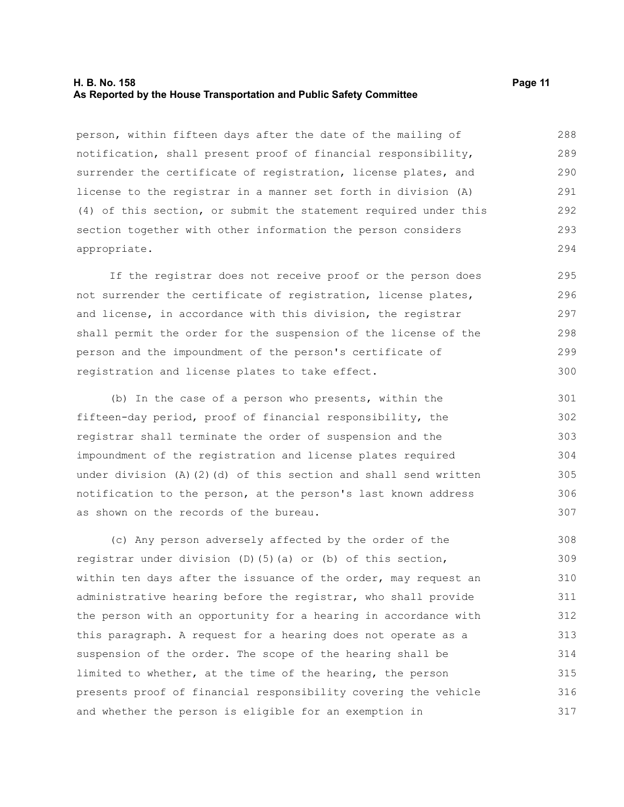#### **H. B. No. 158 Page 11 As Reported by the House Transportation and Public Safety Committee**

person, within fifteen days after the date of the mailing of notification, shall present proof of financial responsibility, surrender the certificate of registration, license plates, and license to the registrar in a manner set forth in division (A) (4) of this section, or submit the statement required under this section together with other information the person considers appropriate. 288 289 290 291 292 293 294

If the registrar does not receive proof or the person does not surrender the certificate of registration, license plates, and license, in accordance with this division, the registrar shall permit the order for the suspension of the license of the person and the impoundment of the person's certificate of registration and license plates to take effect. 295 296 297 298 299

(b) In the case of a person who presents, within the fifteen-day period, proof of financial responsibility, the registrar shall terminate the order of suspension and the impoundment of the registration and license plates required under division  $(A)$   $(2)$   $(d)$  of this section and shall send written notification to the person, at the person's last known address as shown on the records of the bureau.

(c) Any person adversely affected by the order of the registrar under division (D)(5)(a) or (b) of this section, within ten days after the issuance of the order, may request an administrative hearing before the registrar, who shall provide the person with an opportunity for a hearing in accordance with this paragraph. A request for a hearing does not operate as a suspension of the order. The scope of the hearing shall be limited to whether, at the time of the hearing, the person presents proof of financial responsibility covering the vehicle and whether the person is eligible for an exemption in 308 309 310 311 312 313 314 315 316 317

300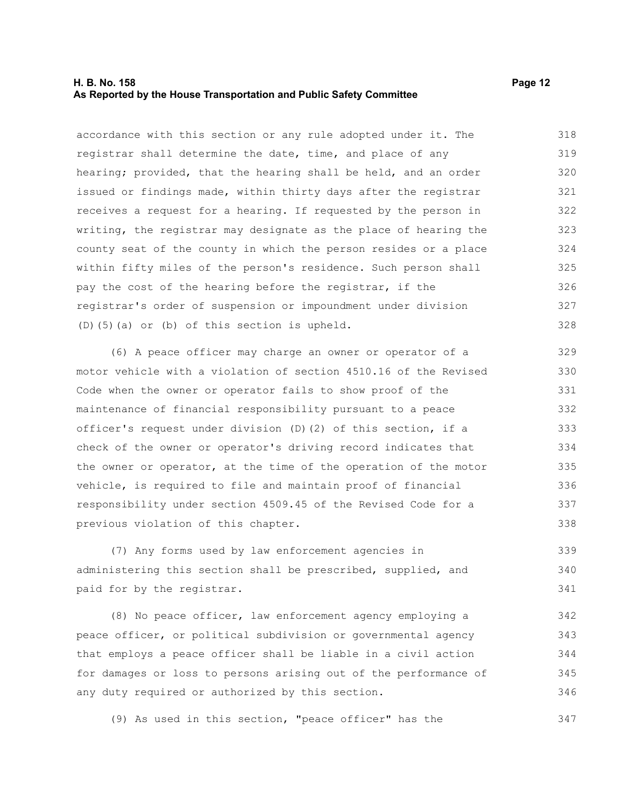#### **H. B. No. 158 Page 12 As Reported by the House Transportation and Public Safety Committee**

accordance with this section or any rule adopted under it. The registrar shall determine the date, time, and place of any hearing; provided, that the hearing shall be held, and an order issued or findings made, within thirty days after the registrar receives a request for a hearing. If requested by the person in writing, the registrar may designate as the place of hearing the county seat of the county in which the person resides or a place within fifty miles of the person's residence. Such person shall pay the cost of the hearing before the registrar, if the registrar's order of suspension or impoundment under division (D)(5)(a) or (b) of this section is upheld. 318 319 320 321 322 323 324 325 326 327 328

(6) A peace officer may charge an owner or operator of a motor vehicle with a violation of section 4510.16 of the Revised Code when the owner or operator fails to show proof of the maintenance of financial responsibility pursuant to a peace officer's request under division (D)(2) of this section, if a check of the owner or operator's driving record indicates that the owner or operator, at the time of the operation of the motor vehicle, is required to file and maintain proof of financial responsibility under section 4509.45 of the Revised Code for a previous violation of this chapter. 329 330 331 332 333 334 335 336 337 338

(7) Any forms used by law enforcement agencies in administering this section shall be prescribed, supplied, and paid for by the registrar. 339 340 341

(8) No peace officer, law enforcement agency employing a peace officer, or political subdivision or governmental agency that employs a peace officer shall be liable in a civil action for damages or loss to persons arising out of the performance of any duty required or authorized by this section. 342 343 344 345 346

(9) As used in this section, "peace officer" has the 347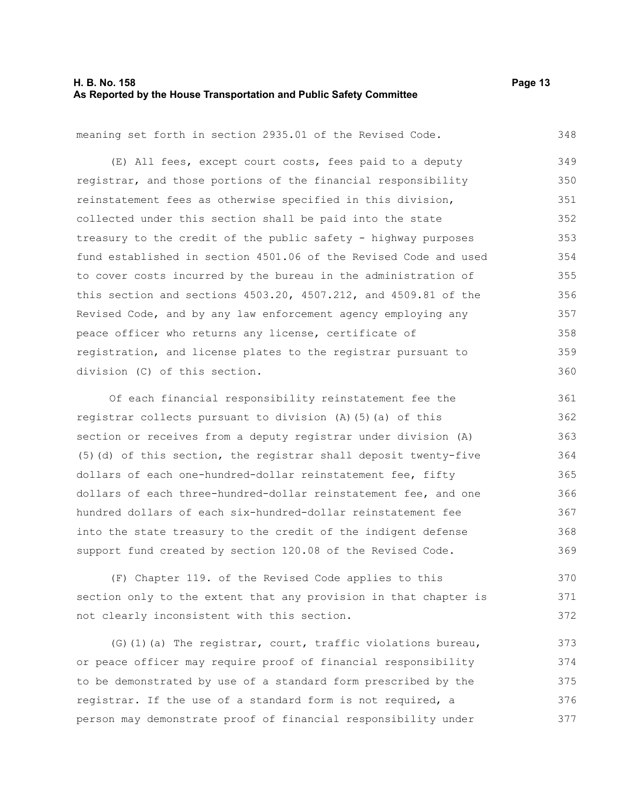#### **H. B. No. 158 Page 13 As Reported by the House Transportation and Public Safety Committee**

348

370 371 372

meaning set forth in section 2935.01 of the Revised Code.

(E) All fees, except court costs, fees paid to a deputy registrar, and those portions of the financial responsibility reinstatement fees as otherwise specified in this division, collected under this section shall be paid into the state treasury to the credit of the public safety - highway purposes fund established in section 4501.06 of the Revised Code and used to cover costs incurred by the bureau in the administration of this section and sections 4503.20, 4507.212, and 4509.81 of the Revised Code, and by any law enforcement agency employing any peace officer who returns any license, certificate of registration, and license plates to the registrar pursuant to division (C) of this section. 349 350 351 352 353 354 355 356 357 358 359 360

Of each financial responsibility reinstatement fee the registrar collects pursuant to division (A)(5)(a) of this section or receives from a deputy registrar under division (A) (5)(d) of this section, the registrar shall deposit twenty-five dollars of each one-hundred-dollar reinstatement fee, fifty dollars of each three-hundred-dollar reinstatement fee, and one hundred dollars of each six-hundred-dollar reinstatement fee into the state treasury to the credit of the indigent defense support fund created by section 120.08 of the Revised Code. 361 362 363 364 365 366 367 368 369

(F) Chapter 119. of the Revised Code applies to this section only to the extent that any provision in that chapter is not clearly inconsistent with this section.

(G)(1)(a) The registrar, court, traffic violations bureau, or peace officer may require proof of financial responsibility to be demonstrated by use of a standard form prescribed by the registrar. If the use of a standard form is not required, a person may demonstrate proof of financial responsibility under 373 374 375 376 377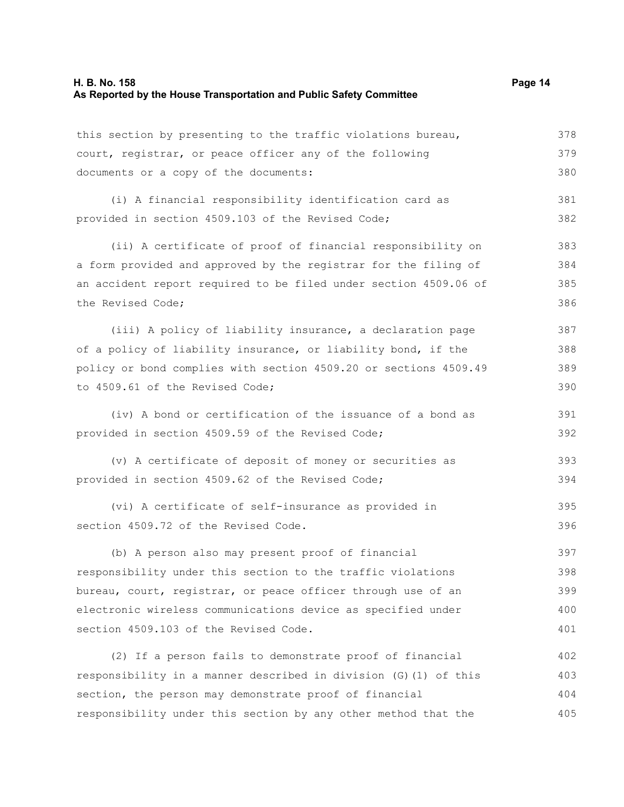this section by presenting to the traffic violations bureau, court, registrar, or peace officer any of the following documents or a copy of the documents: (i) A financial responsibility identification card as provided in section 4509.103 of the Revised Code; (ii) A certificate of proof of financial responsibility on a form provided and approved by the registrar for the filing of an accident report required to be filed under section 4509.06 of the Revised Code; (iii) A policy of liability insurance, a declaration page of a policy of liability insurance, or liability bond, if the policy or bond complies with section 4509.20 or sections 4509.49 to 4509.61 of the Revised Code; (iv) A bond or certification of the issuance of a bond as provided in section 4509.59 of the Revised Code; (v) A certificate of deposit of money or securities as provided in section 4509.62 of the Revised Code; (vi) A certificate of self-insurance as provided in section 4509.72 of the Revised Code. (b) A person also may present proof of financial responsibility under this section to the traffic violations bureau, court, registrar, or peace officer through use of an electronic wireless communications device as specified under section 4509.103 of the Revised Code. 378 379 380 381 382 383 384 385 386 387 388 389 390 391 392 393 394 395 396 397 398 399 400 401

(2) If a person fails to demonstrate proof of financial responsibility in a manner described in division (G)(1) of this section, the person may demonstrate proof of financial responsibility under this section by any other method that the 402 403 404 405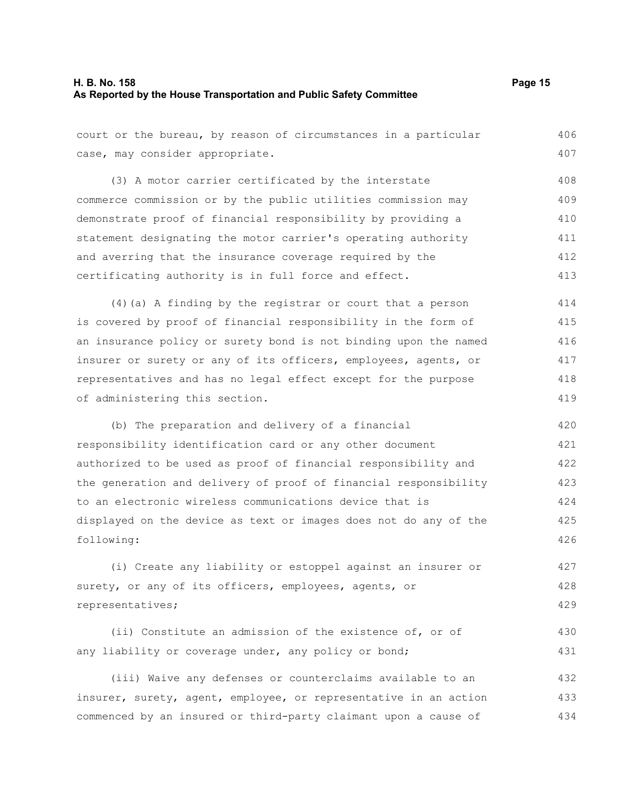court or the bureau, by reason of circumstances in a particular (3) A motor carrier certificated by the interstate commerce commission or by the public utilities commission may demonstrate proof of financial responsibility by providing a statement designating the motor carrier's operating authority and averring that the insurance coverage required by the certificating authority is in full force and effect. (4)(a) A finding by the registrar or court that a person is covered by proof of financial responsibility in the form of an insurance policy or surety bond is not binding upon the named insurer or surety or any of its officers, employees, agents, or representatives and has no legal effect except for the purpose of administering this section. (b) The preparation and delivery of a financial responsibility identification card or any other document authorized to be used as proof of financial responsibility and the generation and delivery of proof of financial responsibility 406 407 408 409 410 411 412 413 414 415 416 417 418 419 420 421 422 423

case, may consider appropriate.

**As Reported by the House Transportation and Public Safety Committee**

to an electronic wireless communications device that is

surety, or any of its officers, employees, agents, or

any liability or coverage under, any policy or bond;

following:

representatives;

displayed on the device as text or images does not do any of the

(i) Create any liability or estoppel against an insurer or

(ii) Constitute an admission of the existence of, or of

(iii) Waive any defenses or counterclaims available to an

insurer, surety, agent, employee, or representative in an action commenced by an insured or third-party claimant upon a cause of

424 425 426

427 428 429

430 431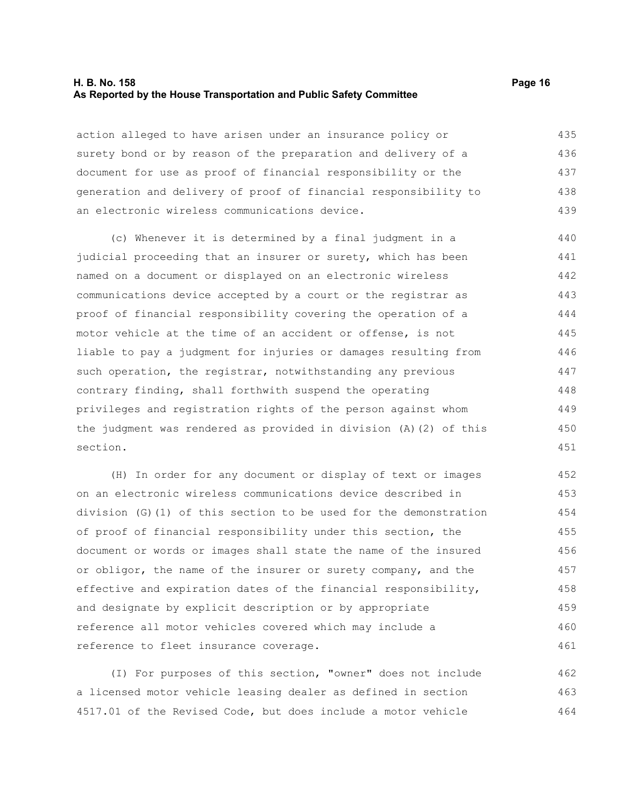#### **H. B. No. 158 Page 16 As Reported by the House Transportation and Public Safety Committee**

action alleged to have arisen under an insurance policy or surety bond or by reason of the preparation and delivery of a document for use as proof of financial responsibility or the generation and delivery of proof of financial responsibility to an electronic wireless communications device. 435 436 437 438 439

(c) Whenever it is determined by a final judgment in a judicial proceeding that an insurer or surety, which has been named on a document or displayed on an electronic wireless communications device accepted by a court or the registrar as proof of financial responsibility covering the operation of a motor vehicle at the time of an accident or offense, is not liable to pay a judgment for injuries or damages resulting from such operation, the registrar, notwithstanding any previous contrary finding, shall forthwith suspend the operating privileges and registration rights of the person against whom the judgment was rendered as provided in division (A)(2) of this section. 440 441 442 443 444 445 446 447 448 449 450 451

(H) In order for any document or display of text or images on an electronic wireless communications device described in division (G)(1) of this section to be used for the demonstration of proof of financial responsibility under this section, the document or words or images shall state the name of the insured or obligor, the name of the insurer or surety company, and the effective and expiration dates of the financial responsibility, and designate by explicit description or by appropriate reference all motor vehicles covered which may include a reference to fleet insurance coverage. 452 453 454 455 456 457 458 459 460 461

(I) For purposes of this section, "owner" does not include a licensed motor vehicle leasing dealer as defined in section 4517.01 of the Revised Code, but does include a motor vehicle 462 463 464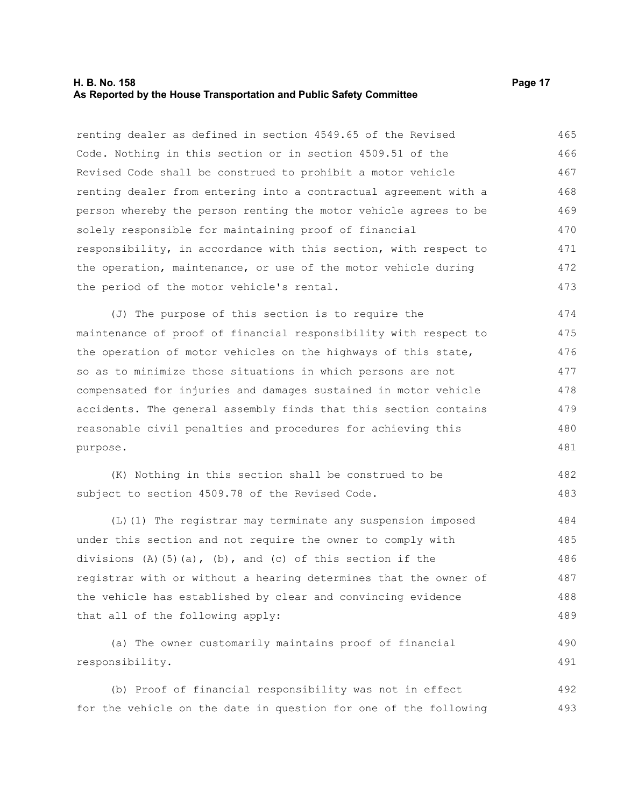#### **H. B. No. 158 Page 17 As Reported by the House Transportation and Public Safety Committee**

renting dealer as defined in section 4549.65 of the Revised Code. Nothing in this section or in section 4509.51 of the Revised Code shall be construed to prohibit a motor vehicle renting dealer from entering into a contractual agreement with a person whereby the person renting the motor vehicle agrees to be solely responsible for maintaining proof of financial responsibility, in accordance with this section, with respect to the operation, maintenance, or use of the motor vehicle during the period of the motor vehicle's rental. 465 466 467 468 469 470 471 472 473

(J) The purpose of this section is to require the maintenance of proof of financial responsibility with respect to the operation of motor vehicles on the highways of this state, so as to minimize those situations in which persons are not compensated for injuries and damages sustained in motor vehicle accidents. The general assembly finds that this section contains reasonable civil penalties and procedures for achieving this purpose. 474 475 476 477 478 479 480 481

|                                                 |  |  |  |  | (K) Nothing in this section shall be construed to be |  | 482 |
|-------------------------------------------------|--|--|--|--|------------------------------------------------------|--|-----|
| subject to section 4509.78 of the Revised Code. |  |  |  |  |                                                      |  | 483 |

(L)(1) The registrar may terminate any suspension imposed under this section and not require the owner to comply with divisions  $(A)$   $(5)$   $(a)$ ,  $(b)$ , and  $(c)$  of this section if the registrar with or without a hearing determines that the owner of the vehicle has established by clear and convincing evidence that all of the following apply: 484 485 486 487 488 489

(a) The owner customarily maintains proof of financial responsibility. 490 491

(b) Proof of financial responsibility was not in effect for the vehicle on the date in question for one of the following 492 493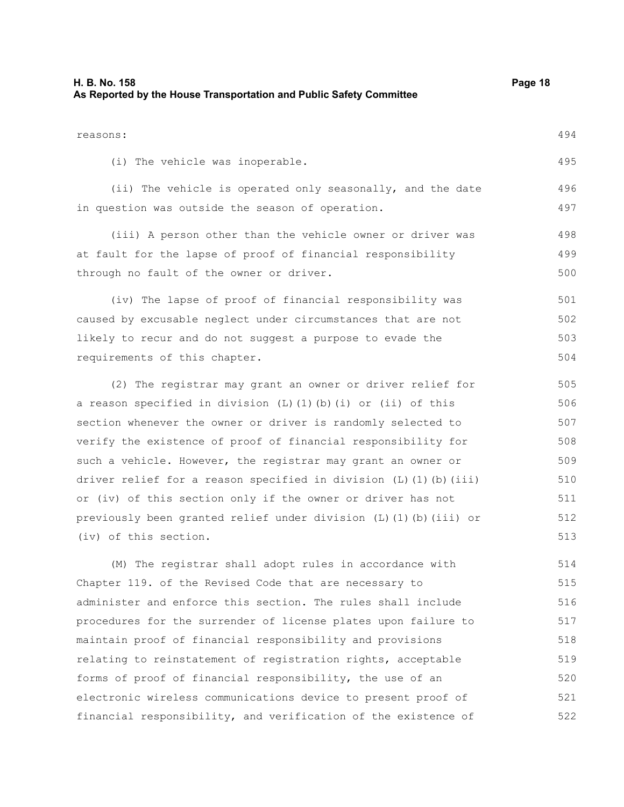| reasons:                                                           | 494 |  |  |  |  |  |  |
|--------------------------------------------------------------------|-----|--|--|--|--|--|--|
| (i) The vehicle was inoperable.                                    | 495 |  |  |  |  |  |  |
| (ii) The vehicle is operated only seasonally, and the date         | 496 |  |  |  |  |  |  |
| in question was outside the season of operation.                   | 497 |  |  |  |  |  |  |
| (iii) A person other than the vehicle owner or driver was          | 498 |  |  |  |  |  |  |
| at fault for the lapse of proof of financial responsibility        | 499 |  |  |  |  |  |  |
| through no fault of the owner or driver.                           | 500 |  |  |  |  |  |  |
| (iv) The lapse of proof of financial responsibility was            | 501 |  |  |  |  |  |  |
| caused by excusable neglect under circumstances that are not       | 502 |  |  |  |  |  |  |
| likely to recur and do not suggest a purpose to evade the          |     |  |  |  |  |  |  |
| requirements of this chapter.                                      | 504 |  |  |  |  |  |  |
| (2) The registrar may grant an owner or driver relief for          | 505 |  |  |  |  |  |  |
| a reason specified in division (L)(1)(b)(i) or (ii) of this        | 506 |  |  |  |  |  |  |
| section whenever the owner or driver is randomly selected to       | 507 |  |  |  |  |  |  |
| verify the existence of proof of financial responsibility for      | 508 |  |  |  |  |  |  |
| such a vehicle. However, the registrar may grant an owner or       | 509 |  |  |  |  |  |  |
| driver relief for a reason specified in division (L) (1) (b) (iii) | 510 |  |  |  |  |  |  |
| or (iv) of this section only if the owner or driver has not        | 511 |  |  |  |  |  |  |
| previously been granted relief under division (L) (1) (b) (iii) or | 512 |  |  |  |  |  |  |
| (iv) of this section.                                              | 513 |  |  |  |  |  |  |

(M) The registrar shall adopt rules in accordance with Chapter 119. of the Revised Code that are necessary to administer and enforce this section. The rules shall include procedures for the surrender of license plates upon failure to maintain proof of financial responsibility and provisions relating to reinstatement of registration rights, acceptable forms of proof of financial responsibility, the use of an electronic wireless communications device to present proof of financial responsibility, and verification of the existence of 514 515 516 517 518 519 520 521 522